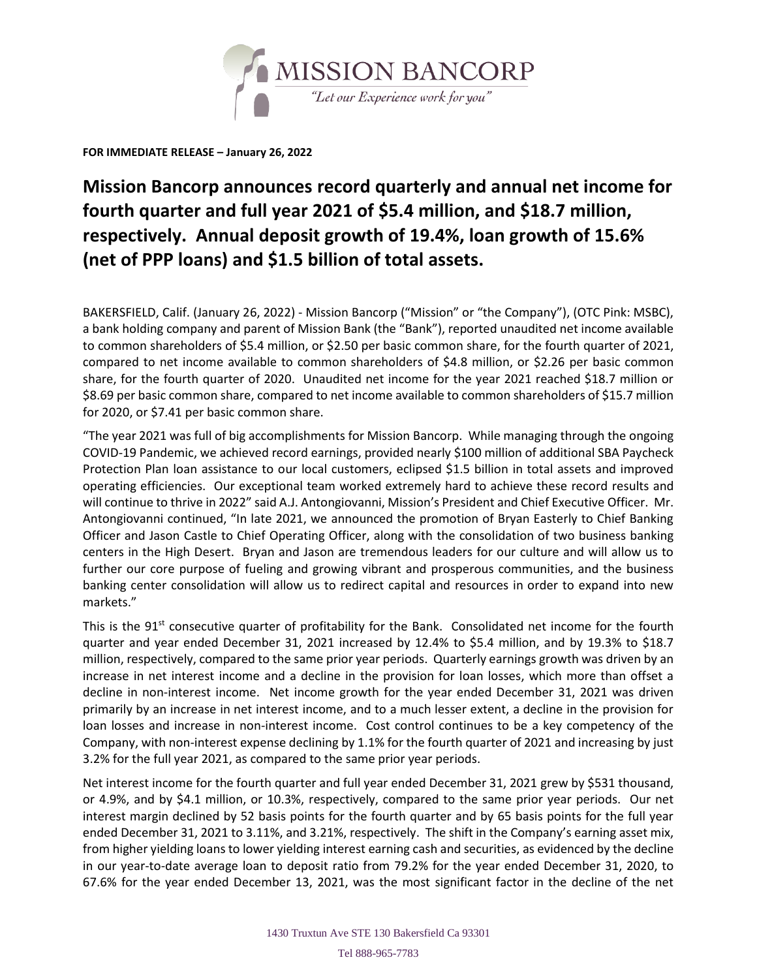

**FOR IMMEDIATE RELEASE – January 26, 2022**

## **Mission Bancorp announces record quarterly and annual net income for fourth quarter and full year 2021 of \$5.4 million, and \$18.7 million, respectively. Annual deposit growth of 19.4%, loan growth of 15.6% (net of PPP loans) and \$1.5 billion of total assets.**

BAKERSFIELD, Calif. (January 26, 2022) - Mission Bancorp ("Mission" or "the Company"), (OTC Pink: MSBC), a bank holding company and parent of Mission Bank (the "Bank"), reported unaudited net income available to common shareholders of \$5.4 million, or \$2.50 per basic common share, for the fourth quarter of 2021, compared to net income available to common shareholders of \$4.8 million, or \$2.26 per basic common share, for the fourth quarter of 2020. Unaudited net income for the year 2021 reached \$18.7 million or \$8.69 per basic common share, compared to net income available to common shareholders of \$15.7 million for 2020, or \$7.41 per basic common share.

"The year 2021 was full of big accomplishments for Mission Bancorp. While managing through the ongoing COVID-19 Pandemic, we achieved record earnings, provided nearly \$100 million of additional SBA Paycheck Protection Plan loan assistance to our local customers, eclipsed \$1.5 billion in total assets and improved operating efficiencies. Our exceptional team worked extremely hard to achieve these record results and will continue to thrive in 2022" said A.J. Antongiovanni, Mission's President and Chief Executive Officer. Mr. Antongiovanni continued, "In late 2021, we announced the promotion of Bryan Easterly to Chief Banking Officer and Jason Castle to Chief Operating Officer, along with the consolidation of two business banking centers in the High Desert. Bryan and Jason are tremendous leaders for our culture and will allow us to further our core purpose of fueling and growing vibrant and prosperous communities, and the business banking center consolidation will allow us to redirect capital and resources in order to expand into new markets."

This is the 91<sup>st</sup> consecutive quarter of profitability for the Bank. Consolidated net income for the fourth quarter and year ended December 31, 2021 increased by 12.4% to \$5.4 million, and by 19.3% to \$18.7 million, respectively, compared to the same prior year periods. Quarterly earnings growth was driven by an increase in net interest income and a decline in the provision for loan losses, which more than offset a decline in non-interest income. Net income growth for the year ended December 31, 2021 was driven primarily by an increase in net interest income, and to a much lesser extent, a decline in the provision for loan losses and increase in non-interest income. Cost control continues to be a key competency of the Company, with non-interest expense declining by 1.1% for the fourth quarter of 2021 and increasing by just 3.2% for the full year 2021, as compared to the same prior year periods.

Net interest income for the fourth quarter and full year ended December 31, 2021 grew by \$531 thousand, or 4.9%, and by \$4.1 million, or 10.3%, respectively, compared to the same prior year periods. Our net interest margin declined by 52 basis points for the fourth quarter and by 65 basis points for the full year ended December 31, 2021 to 3.11%, and 3.21%, respectively. The shift in the Company's earning asset mix, from higher yielding loans to lower yielding interest earning cash and securities, as evidenced by the decline in our year-to-date average loan to deposit ratio from 79.2% for the year ended December 31, 2020, to 67.6% for the year ended December 13, 2021, was the most significant factor in the decline of the net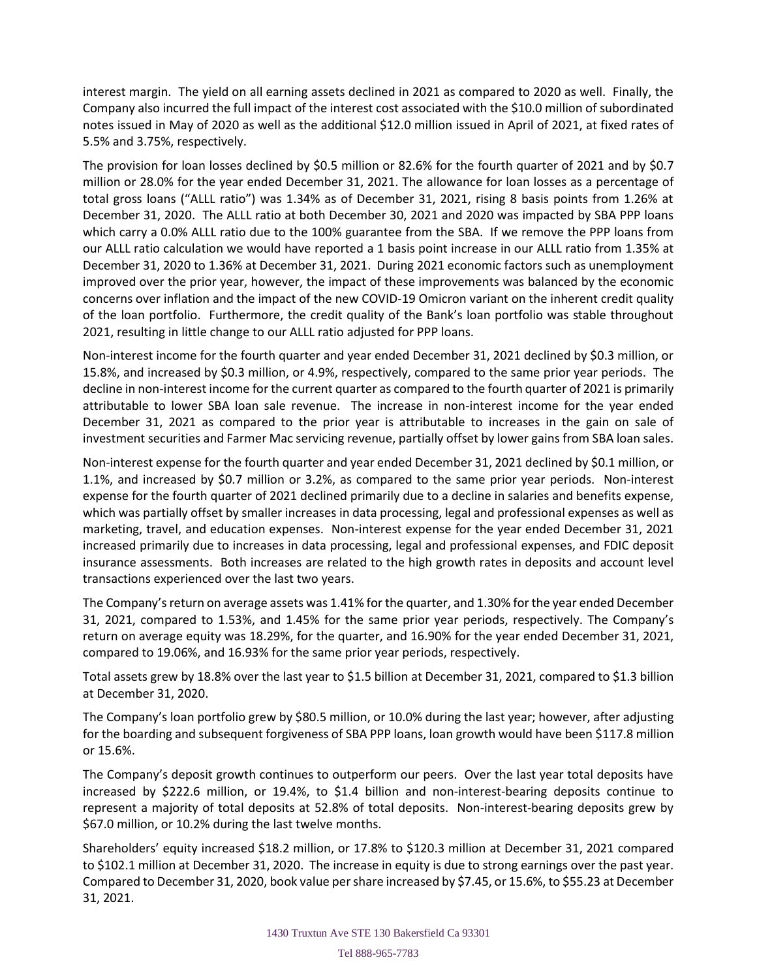interest margin. The yield on all earning assets declined in 2021 as compared to 2020 as well. Finally, the Company also incurred the full impact of the interest cost associated with the \$10.0 million of subordinated notes issued in May of 2020 as well as the additional \$12.0 million issued in April of 2021, at fixed rates of 5.5% and 3.75%, respectively.

The provision for loan losses declined by \$0.5 million or 82.6% for the fourth quarter of 2021 and by \$0.7 million or 28.0% for the year ended December 31, 2021. The allowance for loan losses as a percentage of total gross loans ("ALLL ratio") was 1.34% as of December 31, 2021, rising 8 basis points from 1.26% at December 31, 2020. The ALLL ratio at both December 30, 2021 and 2020 was impacted by SBA PPP loans which carry a 0.0% ALLL ratio due to the 100% guarantee from the SBA. If we remove the PPP loans from our ALLL ratio calculation we would have reported a 1 basis point increase in our ALLL ratio from 1.35% at December 31, 2020 to 1.36% at December 31, 2021. During 2021 economic factors such as unemployment improved over the prior year, however, the impact of these improvements was balanced by the economic concerns over inflation and the impact of the new COVID-19 Omicron variant on the inherent credit quality of the loan portfolio. Furthermore, the credit quality of the Bank's loan portfolio was stable throughout 2021, resulting in little change to our ALLL ratio adjusted for PPP loans.

Non-interest income for the fourth quarter and year ended December 31, 2021 declined by \$0.3 million, or 15.8%, and increased by \$0.3 million, or 4.9%, respectively, compared to the same prior year periods. The decline in non-interest income for the current quarter as compared to the fourth quarter of 2021 is primarily attributable to lower SBA loan sale revenue. The increase in non-interest income for the year ended December 31, 2021 as compared to the prior year is attributable to increases in the gain on sale of investment securities and Farmer Mac servicing revenue, partially offset by lower gains from SBA loan sales.

Non-interest expense for the fourth quarter and year ended December 31, 2021 declined by \$0.1 million, or 1.1%, and increased by \$0.7 million or 3.2%, as compared to the same prior year periods. Non-interest expense for the fourth quarter of 2021 declined primarily due to a decline in salaries and benefits expense, which was partially offset by smaller increases in data processing, legal and professional expenses as well as marketing, travel, and education expenses. Non-interest expense for the year ended December 31, 2021 increased primarily due to increases in data processing, legal and professional expenses, and FDIC deposit insurance assessments. Both increases are related to the high growth rates in deposits and account level transactions experienced over the last two years.

The Company's return on average assets was 1.41% for the quarter, and 1.30% for the year ended December 31, 2021, compared to 1.53%, and 1.45% for the same prior year periods, respectively. The Company's return on average equity was 18.29%, for the quarter, and 16.90% for the year ended December 31, 2021, compared to 19.06%, and 16.93% for the same prior year periods, respectively.

Total assets grew by 18.8% over the last year to \$1.5 billion at December 31, 2021, compared to \$1.3 billion at December 31, 2020.

The Company's loan portfolio grew by \$80.5 million, or 10.0% during the last year; however, after adjusting for the boarding and subsequent forgiveness of SBA PPP loans, loan growth would have been \$117.8 million or 15.6%.

The Company's deposit growth continues to outperform our peers. Over the last year total deposits have increased by \$222.6 million, or 19.4%, to \$1.4 billion and non-interest-bearing deposits continue to represent a majority of total deposits at 52.8% of total deposits. Non-interest-bearing deposits grew by \$67.0 million, or 10.2% during the last twelve months.

Shareholders' equity increased \$18.2 million, or 17.8% to \$120.3 million at December 31, 2021 compared to \$102.1 million at December 31, 2020. The increase in equity is due to strong earnings over the past year. Compared to December 31, 2020, book value per share increased by \$7.45, or 15.6%, to \$55.23 at December 31, 2021.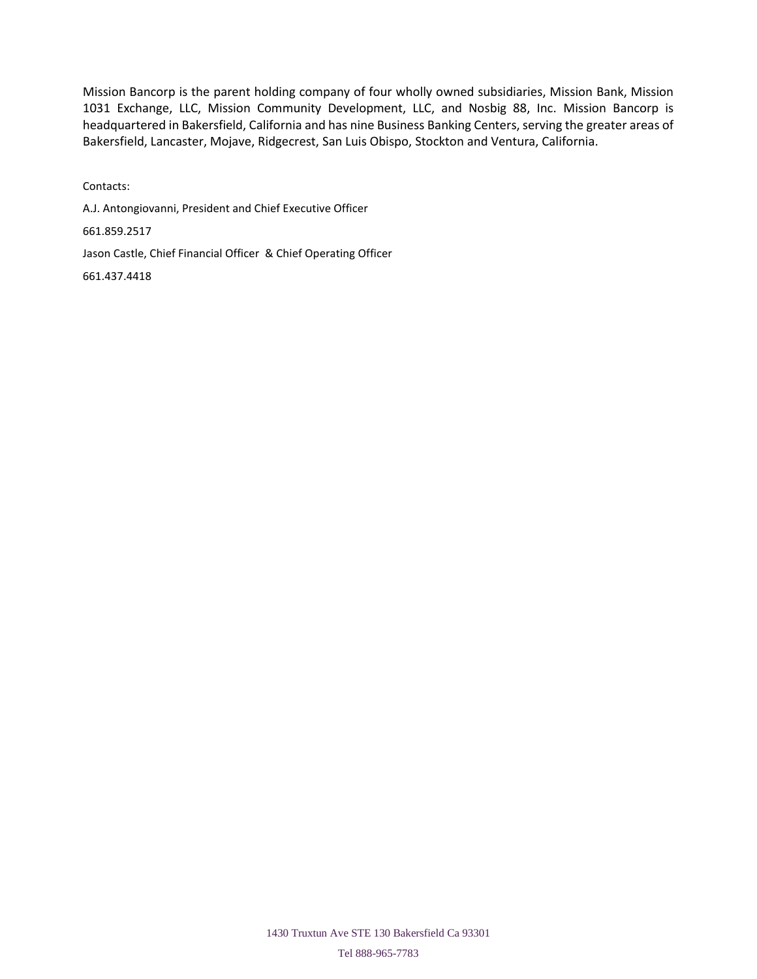Mission Bancorp is the parent holding company of four wholly owned subsidiaries, Mission Bank, Mission 1031 Exchange, LLC, Mission Community Development, LLC, and Nosbig 88, Inc. Mission Bancorp is headquartered in Bakersfield, California and has nine Business Banking Centers, serving the greater areas of Bakersfield, Lancaster, Mojave, Ridgecrest, San Luis Obispo, Stockton and Ventura, California.

Contacts: A.J. Antongiovanni, President and Chief Executive Officer 661.859.2517 Jason Castle, Chief Financial Officer & Chief Operating Officer 661.437.4418